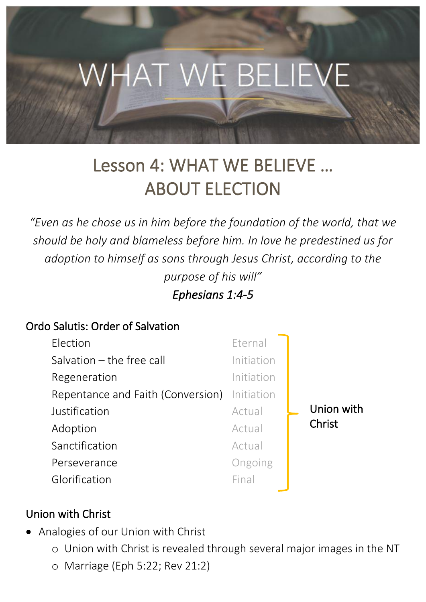

# Lesson 4: WHAT WE BELIEVE … ABOUT ELECTION

*"Even as he chose us in him before the foundation of the world, that we should be holy and blameless before him. In love he predestined us for adoption to himself as sons through Jesus Christ, according to the purpose of his will" Ephesians 1:4-5* 

#### Ordo Salutis: Order of Salvation

| Election                                     | Eternal    |            |
|----------------------------------------------|------------|------------|
| Salvation $-$ the free call                  | Initiation |            |
| Regeneration                                 | Initiation |            |
| Repentance and Faith (Conversion) Initiation |            |            |
| Justification                                | Actual     | Union with |
| Adoption                                     | Actual     | Christ     |
| Sanctification                               | Actual     |            |
| Perseverance                                 | Ongoing    |            |
| Glorification                                | Final      |            |

#### Union with Christ

- Analogies of our Union with Christ
	- o Union with Christ is revealed through several major images in the NT
	- o Marriage (Eph 5:22; Rev 21:2)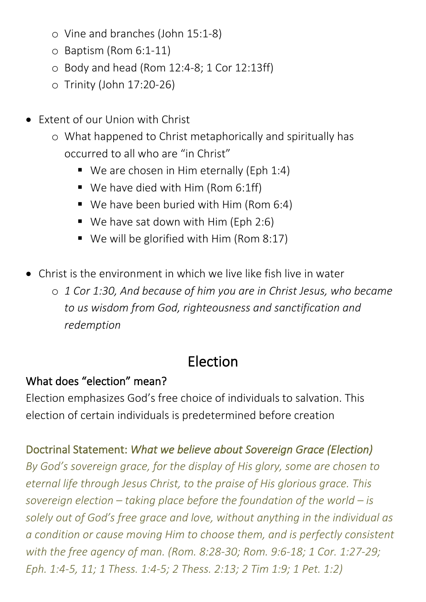- o Vine and branches (John 15:1-8)
- o Baptism (Rom 6:1-11)
- o Body and head (Rom 12:4-8; 1 Cor 12:13ff)
- o Trinity (John 17:20-26)
- Extent of our Union with Christ
	- o What happened to Christ metaphorically and spiritually has occurred to all who are "in Christ"
		- $\blacksquare$  We are chosen in Him eternally (Eph 1:4)
		- $\blacksquare$  We have died with Him (Rom 6:1ff)
		- We have been buried with Him (Rom 6:4)
		- $\blacksquare$  We have sat down with Him (Eph 2:6)
		- $\blacksquare$  We will be glorified with Him (Rom 8:17)
- Christ is the environment in which we live like fish live in water

o *1 Cor 1:30, And because of him you are in Christ Jesus, who became to us wisdom from God, righteousness and sanctification and redemption*

# Election

### What does "election" mean?

Election emphasizes God's free choice of individuals to salvation. This election of certain individuals is predetermined before creation

### Doctrinal Statement: *What we believe about Sovereign Grace (Election)*

*By God's sovereign grace, for the display of His glory, some are chosen to eternal life through Jesus Christ, to the praise of His glorious grace. This sovereign election – taking place before the foundation of the world – is solely out of God's free grace and love, without anything in the individual as a condition or cause moving Him to choose them, and is perfectly consistent with the free agency of man. (Rom. 8:28-30; Rom. 9:6-18; 1 Cor. 1:27-29; Eph. 1:4-5, 11; 1 Thess. 1:4-5; 2 Thess. 2:13; 2 Tim 1:9; 1 Pet. 1:2)*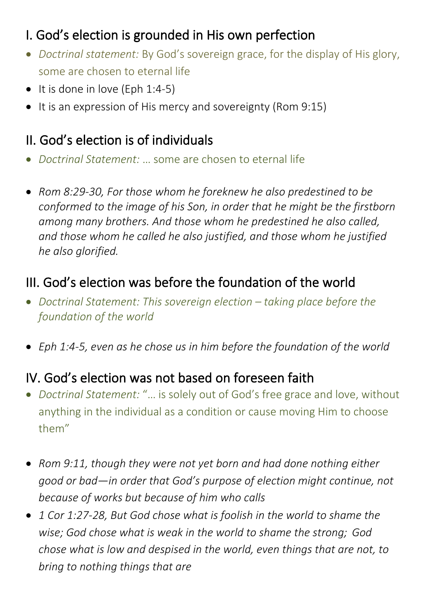# I. God's election is grounded in His own perfection

- *Doctrinal statement:* By God's sovereign grace, for the display of His glory, some are chosen to eternal life
- $\bullet$  It is done in love (Eph 1:4-5)
- It is an expression of His mercy and sovereignty (Rom 9:15)

### II. God's election is of individuals

- *Doctrinal Statement:* … some are chosen to eternal life
- *Rom 8:29-30, For those whom he foreknew he also predestined to be conformed to the image of his Son, in order that he might be the firstborn among many brothers. And those whom he predestined he also called, and those whom he called he also justified, and those whom he justified he also glorified.*

### III. God's election was before the foundation of the world

- *Doctrinal Statement: This sovereign election taking place before the foundation of the world*
- *Eph 1:4-5, even as he chose us in him before the foundation of the world*

### IV. God's election was not based on foreseen faith

- *Doctrinal Statement:* "… is solely out of God's free grace and love, without anything in the individual as a condition or cause moving Him to choose them"
- *Rom 9:11, though they were not yet born and had done nothing either good or bad—in order that God's purpose of election might continue, not because of works but because of him who calls*
- *1 Cor 1:27-28, But God chose what is foolish in the world to shame the wise; God chose what is weak in the world to shame the strong; God chose what is low and despised in the world, even things that are not, to bring to nothing things that are*